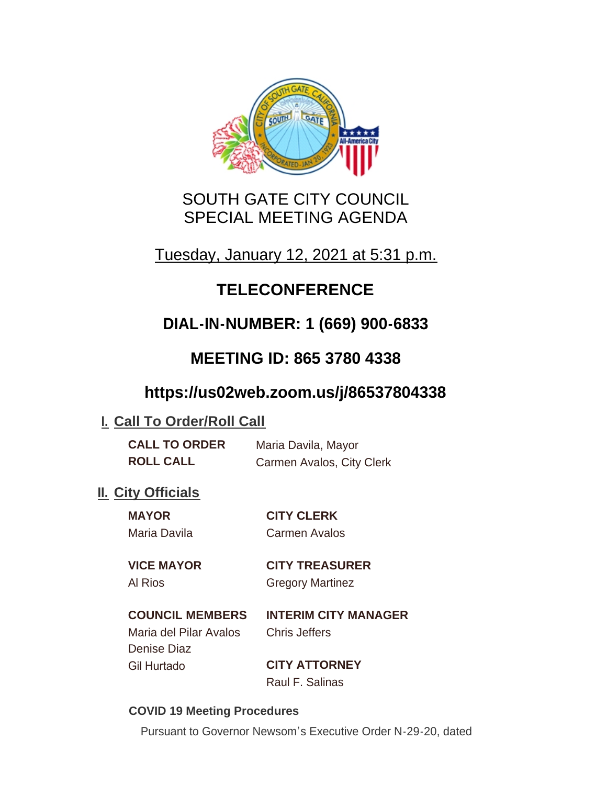

# SOUTH GATE CITY COUNCIL SPECIAL MEETING AGENDA

Tuesday, January 12, 2021 at 5:31 p.m.

# **TELECONFERENCE**

# **DIAL-IN-NUMBER: 1 (669) 900-6833**

# **MEETING ID: 865 3780 4338**

## **https://us02web.zoom.us/j/86537804338**

## **I. Call To Order/Roll Call**

| <b>CALL TO ORDER</b> | Maria Davila, Mayor       |  |
|----------------------|---------------------------|--|
| <b>ROLL CALL</b>     | Carmen Avalos, City Clerk |  |

## **II.** City Officials

| <b>MAYOR</b>      | <b>CITY CLERK</b><br>Carmen Avalos |  |
|-------------------|------------------------------------|--|
| Maria Davila      |                                    |  |
| <b>VICE MAYOR</b> | <b>CITY TREASURER</b>              |  |

Al Rios **Gregory Martinez** 

## **COUNCIL MEMBERS INTERIM CITY MANAGER**

Maria del Pilar Avalos Chris Jeffers Denise Diaz Gil Hurtado **CITY ATTORNEY**

Raul F. Salinas

#### **COVID 19 Meeting Procedures**

Pursuant to Governor Newsom's Executive Order N-29-20, dated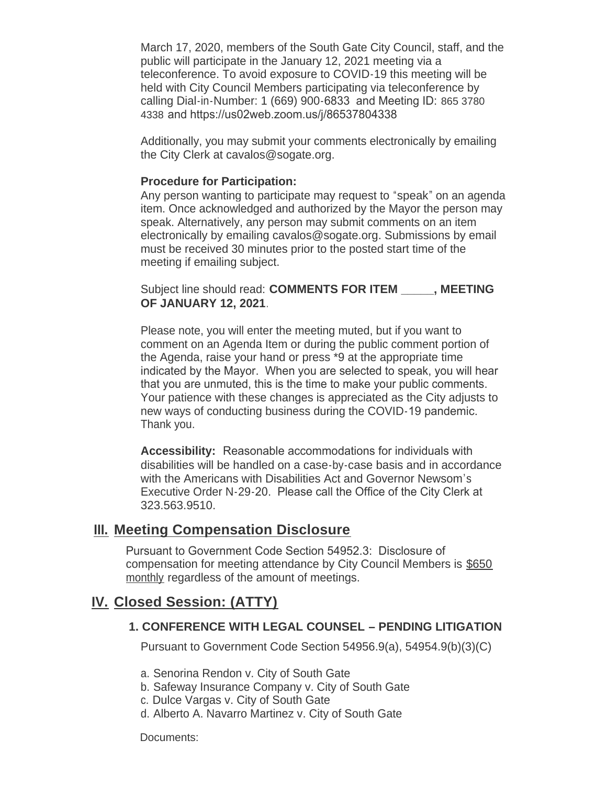March 17, 2020, members of the South Gate City Council, staff, and the public will participate in the January 12, 2021 meeting via a teleconference. To avoid exposure to COVID-19 this meeting will be held with City Council Members participating via teleconference by calling Dial-in-Number: 1 (669) 900-6833 and Meeting ID: 865 3780 4338 and https://us02web.zoom.us/j/86537804338

Additionally, you may submit your comments electronically by emailing the City Clerk at cavalos@sogate.org.

#### **Procedure for Participation:**

Any person wanting to participate may request to "speak" on an agenda item. Once acknowledged and authorized by the Mayor the person may speak. Alternatively, any person may submit comments on an item electronically by emailing cavalos@sogate.org. Submissions by email must be received 30 minutes prior to the posted start time of the meeting if emailing subject.

Subject line should read: **COMMENTS FOR ITEM \_\_\_\_\_, MEETING OF JANUARY 12, 2021**.

Please note, you will enter the meeting muted, but if you want to comment on an Agenda Item or during the public comment portion of the Agenda, raise your hand or press \*9 at the appropriate time indicated by the Mayor. When you are selected to speak, you will hear that you are unmuted, this is the time to make your public comments. Your patience with these changes is appreciated as the City adjusts to new ways of conducting business during the COVID-19 pandemic. Thank you.

**Accessibility:** Reasonable accommodations for individuals with disabilities will be handled on a case-by-case basis and in accordance with the Americans with Disabilities Act and Governor Newsom's Executive Order N-29-20. Please call the Office of the City Clerk at 323.563.9510.

#### **Meeting Compensation Disclosure III.**

Pursuant to Government Code Section 54952.3: Disclosure of compensation for meeting attendance by City Council Members is \$650 monthly regardless of the amount of meetings.

## **Closed Session: (ATTY) IV.**

#### **1. CONFERENCE WITH LEGAL COUNSEL – PENDING LITIGATION**

Pursuant to Government Code Section 54956.9(a), 54954.9(b)(3)(C)

- a. Senorina Rendon v. City of South Gate
- b. Safeway Insurance Company v. City of South Gate
- c. Dulce Vargas v. City of South Gate
- d. Alberto A. Navarro Martinez v. City of South Gate

Documents: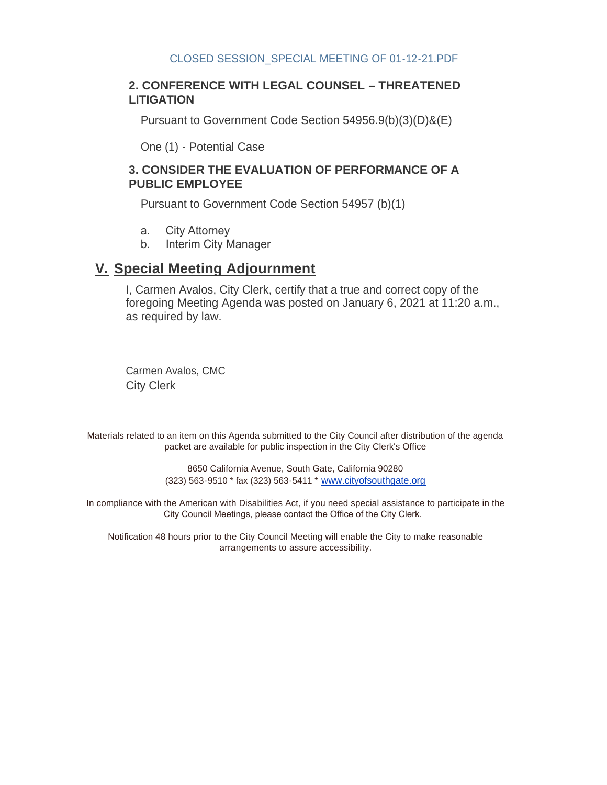#### **2. CONFERENCE WITH LEGAL COUNSEL – THREATENED LITIGATION**

Pursuant to Government Code Section 54956.9(b)(3)(D)&(E)

One (1) - Potential Case

#### **3. CONSIDER THE EVALUATION OF PERFORMANCE OF A PUBLIC EMPLOYEE**

Pursuant to Government Code Section 54957 (b)(1)

- a. City Attorney
- b. Interim City Manager

### **Special Meeting Adjournment V.**

I, Carmen Avalos, City Clerk, certify that a true and correct copy of the foregoing Meeting Agenda was posted on January 6, 2021 at 11:20 a.m., as required by law.

Carmen Avalos, CMC City Clerk

Materials related to an item on this Agenda submitted to the City Council after distribution of the agenda packet are available for public inspection in the City Clerk's Office

> 8650 California Avenue, South Gate, California 90280 (323) 563-9510 \* fax (323) 563-5411 \* [www.cityofsouthgate.org](http://www.cityofsouthgate.org/)

In compliance with the American with Disabilities Act, if you need special assistance to participate in the City Council Meetings, please contact the Office of the City Clerk.

Notification 48 hours prior to the City Council Meeting will enable the City to make reasonable arrangements to assure accessibility.